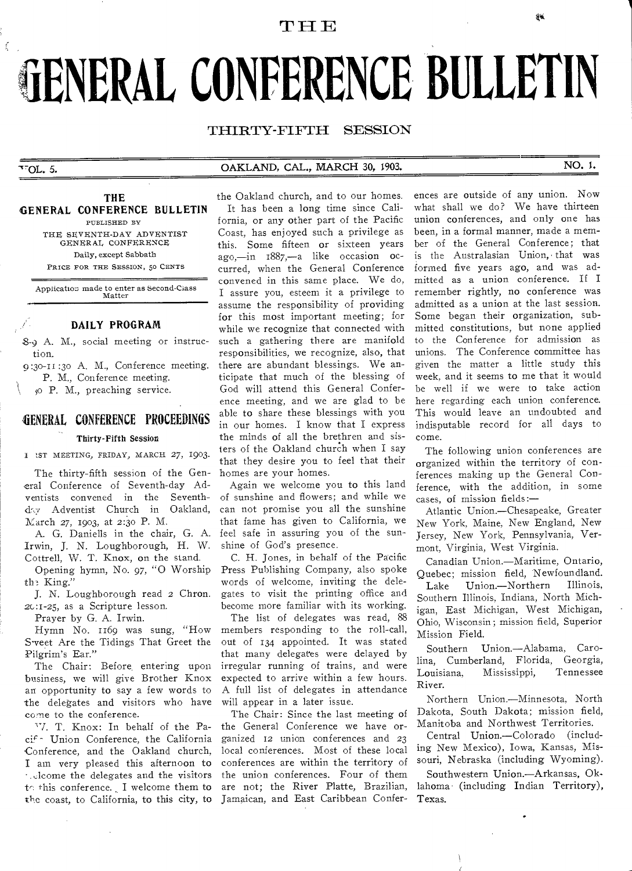# THE

# **IENERAL CONFERENCE BULLETIN**

THIRTY-FIFTH SESSION

 $\mathcal{L}$ 

# 'OL. 5. OAKLAND, CAL., MARCH 30, 1903. NO. I.

**THE GENERAL CONFERENCE BULLETIN**  PUBLISHED BY THE SEVENTH-DAY ADVENTIST

GENERAL CONFERENCE Daily, except Sabbath PRICE FOR THE SESSION, 50 CENTS

Application made to enter as Second-Ciass Matter

# **DAILY PROGRAM**

8-9 A. M., social meeting or instruction.

9:30-11 :30 A. M., Conference meeting. P. M., Conference meeting.

\$o P. M., preaching service.

# 4ENERAI, CONFERENCE PROCEEDINGS

## Thirty-Fifth Session

1 :ST MEETING, FRIDAY, MARCH *27,* 1903.

The thirty-fifth session of the General Conference of Seventh-day Adventists convened in the Seventhday Adventist Church in Oakland, March 27, 1903, at 2:3o P. M.

A. G. Daniells in the chair, G. A. Irwin, J. N. Loughborough, H. W. Cottrell, W. T. Knox, on the stand.

Opening hymn, No. 97, "0 Worship the King."

J. N. Loughborough read 2 Chron. 2c,:1-25, as a Scripture lesson.

Prayer by G. A. Irwin.

Hymn No. 1169 was sung, "How S veet Are the Tidings That Greet the Pilgrim's Ear."

The Chair: Before, entering upon business, we will give Brother Knox an opportunity to say a few words to the delegates and visitors who have come to the conference.

`7. T. Knox: In behalf of the Pacif - Union Conference, the California Conference, and the Oakland church, I am very pleased this afternoon to ....lcome the delegates and the visitors tr. this conference. I welcome them to the coast, to California, to this city, to

the Oakland church, and to our homes. It has been a long time since California, or any other part of the Pacific Coast, has enjoyed such a privilege as this. Some fifteen or sixteen years ago,—in 1887,—a like occasion occurred, when the General Conference convened in this same place. We do, I assure you, esteem it a privilege to assume the responsibility of providing for this most important meeting; for while we recognize that connected with such a gathering there are manifold responsibilities, we recognize, also, that there are abundant blessings. We anticipate that much of the blessing of God will attend this General Conference meeting, and we are glad to be able to share these blessings with you in our homes. I know that I express the minds of all the brethren and sisters of the Oakland church when I say that they desire you to feel that their homes are your homes.

Again we welcome you to this land of sunshine and flowers; and while we can not promise you all the sunshine that fame has given to California, we feel safe in assuring you of the sunshine of God's presence.

C. H. Jones, in behalf of the Pacific Press Publishing Company, also spoke words of welcome, inviting the delegates to visit the printing office and become more familiar with its working.

The list of delegates was read, 88 members responding to the roll-call, out of 134 appointed. It was stated that many delegates were delayed by irregular running of trains, and were expected to arrive within a few hours. A full list of delegates in attendance will appear in a later issue.

The Chair: Since the last meeting of the General Conference we have organized 12 union conferences and 23 local conferences. Most of these local conferences are within the territory of the union conferences. Four of them are not; the River Platte, Brazilian, Jamaican, and East Caribbean Confer-

ences are outside of any union. Now what shall we do? We have thirteen union conferences, and only one has been, in a formal manner, made a member of the General Conference; that is the Australasian Union, that was formed five years ago, and was admitted as a union conference. If I remember rightly, no conference was admitted as a union at the last session. Some began their organization, submitted constitutions, but none applied to the Conference for admission as unions. The Conference committee has given the matter a little study this week, and it seems to me that it would be well if we were to take action here regarding each union conference. This would leave an undoubted and indisputable record for all days to come.

The following union conferences are organized within the territory of conferences making up the General Conference, with the addition, in some cases, of mission fields:—

Atlantic Union.—Chesapeake, Greater New York, Maine, New England, New Jersey, New York, Pennsylvania, Vermont, Virginia, West Virginia.

Canadian Union.—Maritime, Ontario, Quebec; mission field, Newfoundland.<br>Lake Union.-Northern Illinois, Lake Union.-Northern Southern Illinois, Indiana, North Michigan, East Michigan, West Michigan, Ohio, Wisconsin; mission field, Superior Mission Field.

Southern Union.—Alabama, Carolina, Cumberland, Florida, Georgia,<br>Louisiana. Mississippi, Tennessee Louisiana, Mississippi, River.

Northern Union.—Minnesota, North Dakota, South Dakota; mission field, Manitoba and Northwest Territories.

Central Union.—Colorado (including New Mexico), Iowa, Kansas, Missouri, Nebraska (including Wyoming).

Southwestern Union.—Arkansas, Oklahoma (including Indian Territory), Texas.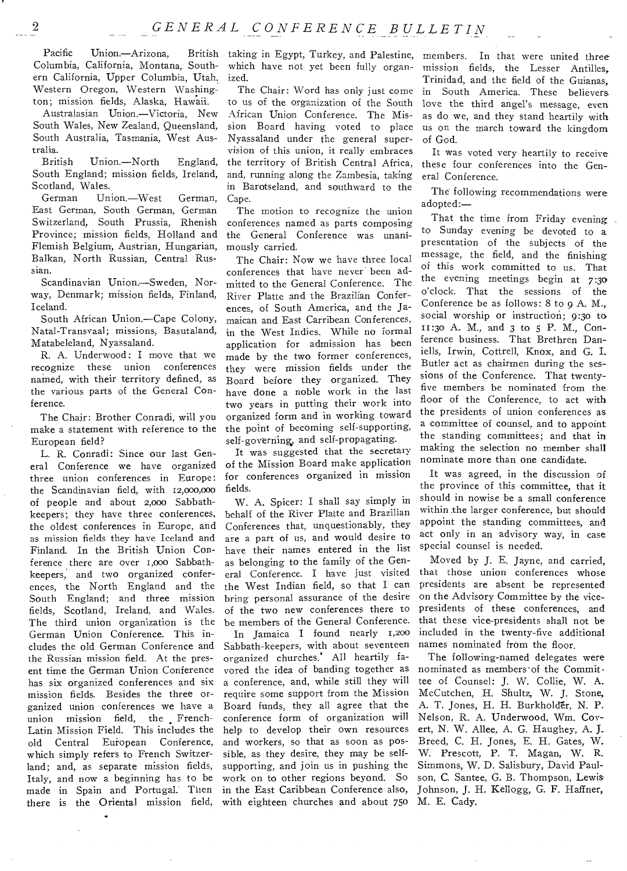Pacific Union.—Arizona, Columbia, California, Montana, Southern California, Upper Columbia, Utah. Western Oregon, Western Washington; mission fields, Alaska, Hawaii.

Australasian Union.—Victoria, New South Wales, New Zealand, Queensland, South Australia, Tasmania, West Australia.

British Union.—North England, South England; mission fields, Ireland, Scotland, Wales.

German Union.—West German, East German, South German, German Switzerland, South Prussia, Rhenish Province; mission fields, Holland and Flemish Belgium, Austrian, Hungarian, Balkan, North Russian, Central Russian.

Scandinavian Union.—Sweden, Norway, Denmark; mission fields, Finland, Iceland.

South African Union.—Cape Colony, Natal-Transvaal; missions, Basutaland, Matabeleland, Nyassaland.

R. A. Underwood: I move that we recognize these union conferences named, with their territory defined, as the various parts of the General Conference.

The Chair: Brother Conradi, will you make a statement with reference to the European field?

L. R. Conradi: Since our last General Conference we have organized three union conferences in Europe: the Scandinavian field, with 12,000,000 of people and about 2,000 Sabbathkeepers; they have three conferences. the oldest conferences in Europe, and as mission fields they have Iceland and Finland. In the British Union Conference there are over t,000 Sabbathkeepers, and two organized conferences, the North England and the South England; and three mission fields, Scotland, Ireland, and Wales. The third union organization is the German Union Conference. This includes the old German Conference and the Russian mission field. At the present time the German Union Conference has six organized conferences and six mission fields. Besides the three organized union conferences we have a union mission field, the French-Latin Mission Field. This includes the old Central European Conference, which simply refers to French Switzerland; and, as separate mission fields, Italy, and now a beginning has to be made in Spain and Portugal. Then there is the Oriental mission field,

taking in Egypt, Turkey, and Palestine, members. In that were united three which have not yet been fully organized.

The Chair: Word has only just come to us of the organization of the South African Union Conference. The Mission Board having voted to place Nyassaland under the general supervision of this union, it really embraces the territory of British Central Africa, and, running along the Zambesia, taking in Barotseland, and southward to the Cape.

The motion to recognize the union conferences named as parts composing the General Conference was unanimously carried.

The Chair: Now we have three local conferences that have never been admitted to the General Conference. The River Platte and the Brazilian Conferences, of South America, and the Jamaican and East Carribean Conferences, in the West Indies. While no formal application for admission has been made by the two former conferences, they were mission fields under the Board before they organized. They have done a noble work in the last two years in putting their work into organized form and in working toward the point of becoming self-supporting, self-governing, and self-propagating.

It was suggested that the secretary of the Mission Board make application for conferences organized in mission fields.

W. A. Spicer: I shall say simply in behalf of the River Platte and Brazilian Conferences that, unquestionably, they are a part of us, and would desire to have their names entered in the list as belonging to the family of the General Conference. I have just visited the West Indian field, so that I can bring personal assurance of the desire of the two new conferences there to be members of the General Conference.

In Jamaica I found nearly 1,200 Sabbath-keepers, with about seventeen organized churches.' All heartily favored the idea of banding together as a conference, and, while still they will require some support from the Mission Board funds, they all agree that the conference form of organization will help to develop their own resources and workers, so that as soon as possible, as they desire, they may be selfsupporting, and join us in pushing the work on to other regions beyond. So in the East Caribbean Conference also, with eighteen churches and about 750

mission fields, the Lesser Antilles, Trinidad, and the field of the Guianas, in South America. These believers love the third angel's message, even as do we, and they stand heartily with us on the march toward the kingdom of God.

It was voted very heartily to receive these four conferences into the General Conference.

The following recommendations were adopted:—

That the time from Friday evening to Sunday evening be devoted to a presentation of the subjects of the message, the field, and the finishing of this work committed to us. That the evening meetings begin at 7:30 o'clock. That the sessions of the Conference be as follows: 8 to 9 A. M., social worship or instruction; 9:30 to 11:30 A. M., and 3 to 5 P. M., Conference business. That Brethren Daniells, Irwin, Cottrell, Knox, and G. I. Butler act as chairmen during the sessions of the Conference. That twentyfive members be nominated from the floor of the Conference, to act with the presidents of union conferences as a committee of counsel, and to appoint the standing committees; and that in making the selection no member shall nominate more than one candidate.

It was agreed, in the discussion of the province of this committee, that it should in nowise be a small conference within the larger conference, but should appoint the standing committees, and act only in an advisory way, in case special counsel is needed.

Moved by J. E. Jayne, and carried, that those union conferences whose presidents are absent be represented on the Advisory Committee by the vicepresidents of these conferences, and that these vice-presidents shall not be included in the twenty-five additional names nominated from the floor.

The following-named delegates were nominated as members'of the Committee of Counsel: J. W. Collie, W. A. McCutchen, H. Shultz, W. J. Stone, A. T. Jones, H. H. Burkholder, N. P. Nelson, R. A. Underwood, Wm. Covert, N. W. Allee, A. G. Haughey, A. J. Breed, C. H. Jones, E. H. Gates, W. W. Prescott, P. T. Magan, W. R. Simmons, W. D. Salisbury, David Paulson, C. Santee, G. B. Thompson, Lewis Johnson, J. H. Kellogg, G. F. Haffner, M. E. Cady.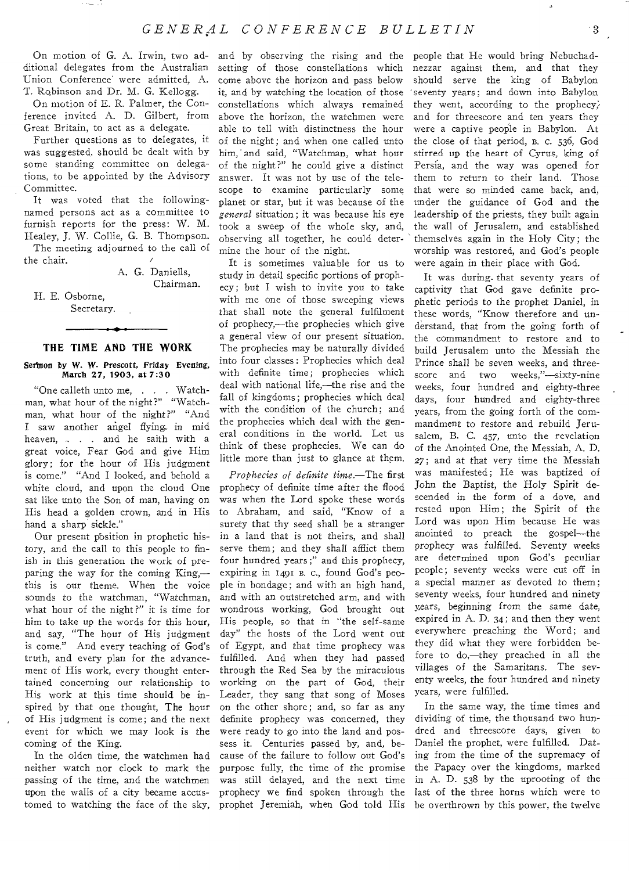On motion of G. A. Irwin, two additional delegates from the Australian Union Conference were admitted, A. T. Robinson and Dr. M. G. Kellogg.

وأني يستحدث

On motion of E. R. Palmer, the Conference invited A. D. Gilbert, from Great Britain, to act as a delegate.

Further questions as to delegates, it was suggested, should be dealt with by some standing committee on delegations, to be appointed by the Advisory Committee.

It was voted that the followingnamed persons act as a committee to furnish reports for the press: W. M. Healey, J. W. Collie, G. B. Thompson.

The meeting adjourned to the call of the chair.

A. G. Daniells, Chairman.

H. E. Osborne, Secretary.

# **THE TIME AND THE WORK**

## Sertnon by W. W. Prescott, Friday Evening, March 27, 1903, at 7:30

"One calleth unto me, . . . Watchman, what hour of the night?" "Watchman, what hour of the night?" "And I saw another angel flying. in mid heaven, .. . and he saith with a great voice, Fear God and give Him glory; for the hour of His judgment is come." "And I looked, and behold a white cloud, and upon the cloud One sat like unto the Son of man, having on His head a golden crown, and in His hand a sharp sickle."

Our present pbsition in prophetic history, and the call to this people to finish in this generation the work of preparing the way for the coming King, this is our theme. When the voice sounds to the watchman, "Watchman, what hour of the night ?" it is time for him to take up the words for this hour, and say, "The hour of His judgment is come." And every teaching of God's truth, and every plan for the advancement of His work, every thought entertained concerning our relationship to His work at this time should be inspired by that one thought, The hour of His judgment is come; and the next event for which we may look is the coming of the King.

In the olden time, the watchmen had neither watch nor clock to mark the passing of the time, and the watchmen upon the walls of a city became accustomed to watching the face of the sky,

and by observing the rising and the people that He would bring Nebuchadsetting of those constellations which come above the horizon and pass below it, and by watching the location of those constellations which always remained above the horizon, the watchmen were able to tell with distinctness the hour of the night; and when one called unto him,' and said, "Watchman, what hour of the night?" he could give a distinct answer. It was not by use of the telescope to examine particularly some planet or star, but it was because of the *general* situation; it was because his eye took a sweep of the whole sky, and, observing all together, he could determine the hour of the night.

It is sometimes valuable for us to study in detail specific portions of prophecy; but I wish to invite you to take with me one of those sweeping views that shall note the general fulfilment of prophecy,—the prophecies which give a general view of our present situation. The prophecies may be naturally divided into four classes : Prophecies which deal with definite time; prophecies which deal with national life,—the rise and the fall of kingdoms; prophecies which deal with the condition of the church; and the prophecies which deal with the general conditions in the world. Let us think of these prophecies. We can do little more than just to glance at them.

*Prophecies of definite* time.—The first prophecy of definite time after the flood was when the Lord spoke these words to Abraham, and said, "Know of a surety that thy seed shall be a stranger in a land that is not theirs, and shall serve them; and they shall afflict them four hundred years ;" and this prophecy, expiring in 1491 B. c., found God's people in bondage; and with an high hand, and with an outstretched arm, and with wondrous working, God brought out His people, so that in "the self-same day" the hosts of the Lord went out of Egypt, and that time prophecy was fulfilled. And when they had passed through the Red Sea by the miraculous working on the part of God, their Leader, they sang that song of Moses on the other shore; and, so far as any definite prophecy was concerned, they were ready to go into the land and possess it. Centuries passed by, and, because of the failure to follow out God's purpose fully, the time of the promise was still delayed, and the next time prophecy we find spoken through the last of the three horns which were to prophet Jeremiah, when God told His be overthrown by this power, the twelve

nezzar against them, and that they should serve the king of Babylon seventy years; and down into Babylon they went, according to the prophecy; and for threescore and ten years they were a captive people in Babylon. At the close of that period, B. C. 536, God stirred up the heart of Cyrus, king of Persia, and the way was opened for them to return to their land. Those that were so minded came back, and, under the guidance of God and the leadership of the priests, they built again the wall of Jerusalem, and established themselves again in the Holy City; the worship was restored, and God's people were again in their place with God.

It was during. that seventy years of captivity that God gave definite prophetic periods to the prophet Daniel, in these words, "Know therefore and understand, that from the going forth of the commandment to restore and to build Jerusalem unto the Messiah the Prince shall be seven weeks, and threescore and two weeks,"—sixty-nine weeks, four hundred and eighty-three days, four hundred and eighty-three years, from the going forth of the commandment to restore and rebuild Jerusalem, B. C. 457, unto the revelation of the Anointed One, the Messiah, A. D. *27;* and at that very time the Messiah was manifested; He was baptized of John the Baptist, the Holy Spirit descended in the form of a dove, and rested upon Him; the Spirit of the Lord was upon Him because He was anointed to preach the gospel—the prophecy was fulfilled. Seventy weeks are determined upon God's peculiar people; seventy weeks were cut off in a special manner as devoted to them; seventy weeks, four hundred and ninety years, beginning from the same date, expired in A. D. 34; and then they went everywhere preaching the Word; and they did what they were forbidden before to do,—they preached in all the villages of the Samaritans. The seventy weeks, the four hundred and ninety years, were fulfilled.

In the same way, the time times and dividing of time, the thousand two hundred and threescore days, given to Daniel the prophet, were fulfilled. Dating from the time of the supremacy of the Papacy over the kingdoms, marked in A. D. 538 by the uprooting of the

s.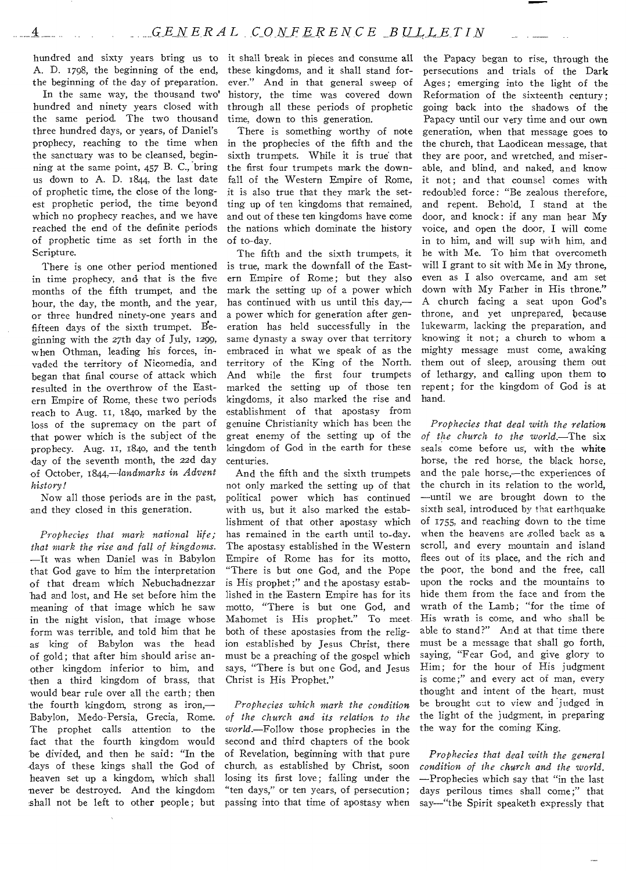hundred and sixty years bring us to it shall break in pieces and consume all A. D. 1798, the beginning of the end, the beginning of the day of preparation.

In the same way, the thousand two' hundred and ninety years closed with the same period. The two thousand three hundred days, or years, of Daniel's prophecy, reaching to the time when the sanctuary was to be cleansed, beginning at the same point, 457 B. C., bring us down to A. D. 1844, the last date of prophetic time, the close of the longest prophetic period, the time beyond which no prophecy reaches, and we have reached the end of the definite periods of prophetic time as set forth in the Scripture.

There is one other period mentioned in time prophecy, and that is the five months of the fifth trumpet, and the hour, the day, the month, and the year, or three hundred ninety-one years and fifteen days of the sixth trumpet. Beginning with the 27th day of July, 1299, when Othman, leading his forces, invaded the territory of Nicomedia, and began that final course of attack which resulted in the overthrow of the Eastern Empire of Rome, these two periods reach to Aug. 11, 1840, marked by the loss of the supremacy on the part of that power which is the subject of the prophecy. Aug. II, 1840, and the tenth day of the seventh month, the 22d day of October, 1844,-*-landmarks in Advent history!* 

Now all those periods are in the past, and they closed in this generation.

*Prophecies that mark national life; that mark the rise and fall of kingdoms.*  —It was when Daniel was in Babylon that God gave to him the interpretation of that dream which Nebuchadnezzar bad and lost, and He set before him the meaning of that image which he saw in the night vision, that image whose form was terrible, and told him that he as king of Babylon was the head of gold; that after him should arise another kingdom inferior to him, and then a third kingdom of brass, that would bear rule over all the earth; then the fourth kingdom, strong as iron,— Babylon, Medo-Persia, Grecia, Rome. The prophet calls attention to the fact that the fourth kingdom would be divided, and then he said: "In the days of these kings shall the God of heaven set up a kingdom, which shall -never be destroyed. And the kingdom shall not be left to other people; but these kingdoms, and it shall stand forever." And in that general sweep of history, the time was covered down through all these periods of prophetic time, down to this generation.

There is something worthy of note in the prophecies of the fifth and the sixth trumpets. While it is true that the first four trumpets mark the downfall of the Western Empire of Rome, it is also true that they mark the setting up of ten kingdoms that remained, and out of these ten kingdoms have come the nations which dominate the history of to-day.

The fifth and the sixth trumpets, it is true, mark the downfall of the Eastern Empire of Rome; but they also mark the setting up of a power which has continued with us until this day, a power which for generation after generation has held successfully in the same dynasty a sway over that territory embraced in what we speak of as the territory of the King of the North. And while the first four trumpets marked the setting up of those ten kingdoms, it also marked the rise and establishment of that apostasy from genuine Christianity which has been the great enemy of the setting up of the kingdom of God in the earth for these centuries.

And the fifth and the sixth trumpets not only marked the setting up of that political power which has continued with us, but it also marked the establishment of that other apostasy which has remained in the earth until to-day. The apostasy established in the Western Empire of Rome has for its motto, "There is but one God, and the Pope is His prophet;" and the apostasy established in the Eastern Empire has for its motto, "There is but one God, and Mahomet is His prophet." To meet both of these apostasies from the religion established by Jesus Christ, there must be a preaching of the gospel which says, "There is but one God, and Jesus Christ is His Prophet."

*Prophecies which mark the condition of the church and its relation to the world.—Follow* those prophecies in the second and third chapters of the book of Revelation, beginning with that pure church, as established by Christ, soon losing its first love; failing under the "ten days," or ten years, of persecution; passing into that time of apostasy when

the Papacy began to rise, through the persecutions and trials of the Dark Ages; emerging into the light of the Reformation of the sixteenth century; going back into the shadows of the Papacy until our very time and our own generation, when that message goes to the church, that Laodicean message, that they are poor, and wretched, and miserable, and blind, and naked, and know it not; and that counsel comes with redoubled force: "Be zealous therefore, and repent. Behold, I stand at the door, and knock: if any man hear My voice, and open the door, I will come in to him, and will sup wiih him, and he with Me. To him that overcometh will I grant to sit with Me in My throne, even as I also overcame, and am set down with My Father in His throne." A church facing a seat upon God's throne, and yet unprepared, *because*  lukewarm, lacking the preparation, and knowing it not; a church to whom a mighty message must come, awaking them out of sleep, arousing them out of lethargy, and calling upon them to repent; for the kingdom of God is at hand.

*Prophecies that deal with the relation of the church to the world.—The* six seals come before us, with the white horse, the red horse, the black horse, and the pale horse,—the experiences of the church in its relation to the world, —until we are brought down to the sixth seal, introduced by that earthquake of 1755, and reaching down to the time when the heavens are zolled back as a scroll, and every mountain and island flees out of its place, and the rich and the poor, the bond and the free, call upon the rocks and the mountains to hide them from the face and from the wrath of the Lamb; "for the time of His wrath is come, and who shall be able to stand?" And at that time there must be a message that shall go forth, saying, "Fear God, and give glory to Him; for the hour of His judgment is come;" and every act of man, every thought and intent of the heart, must be brought cut to view and judged in the light of the judgment, in preparing the way for the coming King.

*Prophecies that deal with the general condition of the church and the world.*  —Prophecies which say that "in the last days perilous times shall come;" that say—"the Spirit speaketh expressly that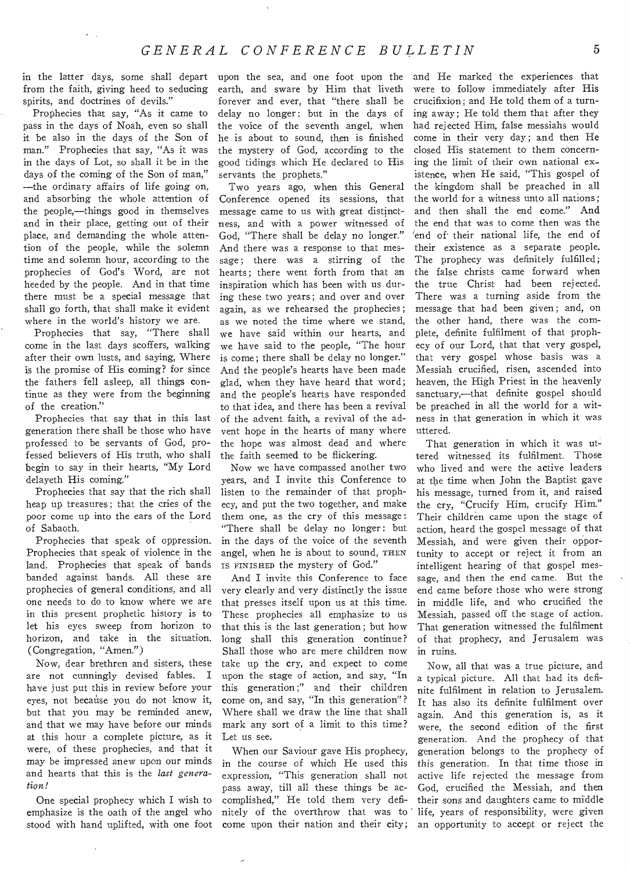from the faith, giving heed to seducing spirits, and doctrines of devils."

 $\mathcal{L}$ 

Prophecies that say, "As it came to pass in the days of Noah, even so shall it be also in the days of the Son of man." Prophecies that say, "As it was in the days of Lot, so shall it be in the days of the coming of the Son of man," —the ordinary affairs of life going on, and absorbing the whole attention of the people,—things good in themselves and in their place, getting out of their place, and demanding the whole attention of the people, while the solemn time and solemn hour, according to the prophecies of God's Word, are not heeded by the people. And in that time there must be a special message that shall go forth, that shall make it evident where in the world's history we are.

Prophecies that say, "There shall come in the last days scoffers, walking after their own lusts, and saying, Where is the promise of His coming? for since the fathers fell asleep, all things continue as they were from the beginning of the creation."

Prophecies that say that in this last generation there shall be those who have professed to be servants of God, professed believers of His truth, who shall begin to say in their hearts, "My Lord delayeth His coming."

Prophecies that say that the rich shall heap up treasures; that the cries of the poor come up into the ears of the Lord of Sabaoth.

Prophecies that speak of oppression. Prophecies that speak of violence in the land. Prophecies that speak of bands banded against bands. All these are prophecies of general conditions, and all one needs to do to know where we are in this present prophetic history is to let his eyes sweep from horizon to horizon, and take in the situation. (Congregation, "Amen.")

Now, dear brethren and sisters, these are not cunningly devised fables. I have just put this in review before your eyes, not becaiise you do not know it, but that you may be reminded anew, and that we may have before our minds at this hour a complete picture, as it were, of these prophecies, and that it may be impressed anew upon our minds and hearts that this is the *last generation!* 

One special prophecy which I wish to emphasize is the oath of the angel who stood with hand uplifted, with one foot

in the latter days, some shall depart upon the sea, and one foot upon the earth, and sware by Him that liveth forever and ever, that "there shall be delay no longer: but in the days of the voice of the seventh angel, when he is about to sound, then is finished the mystery of God, according to the good tidings which He declared to His servants the prophets."

> Two years ago, when this General Conference opened its sessions, that message came to us with great distinctness, and with a power witnessed of God, "There shall be delay no longer." And there was a response to that message; there was a stirring of the hearts; there went forth from that an inspiration which has been with us during these two years ; and over and over again, as we rehearsed the prophecies; as we noted the time where we stand, we have said within our hearts, and we have said to the people, "The hour is come; there shall be delay no longer." And the people's hearts have been made glad, when they have heard that word; and the people's hearts have responded to that idea, and there has been a revival of the advent faith, a revival of the advent hope in the hearts of many where the hope was almost dead and where the faith seemed to be flickering.

Now we have compassed another two years, and I invite this Conference to listen to the remainder of that prophecy, and put the two together, and make them one, as the cry of this message: "There shall be delay no longer: but in the days of the voice of the seventh angel, when he is about to sound, THEN IS FINISHED the mystery of God."

And I invite this Conference to face very clearly and very distinctly the issue that presses itself upon us at this time. These prophecies all emphasize to us that this is the last generation ; but how long shall this generation continue? Shall those who are mere children now take up the cry, and expect to come upon the stage of action, and say, "In this generation ;" and their children come on, and say, "In this generation"? Where shall we draw the line that shall mark any sort of a limit to this time? Let us see.

When our Saviour gave His prophecy, in the course of which He used this expression, "This generation shall not pass away, till all these things be accomplished," He told them very defi-

and He marked the experiences that were to follow immediately after His crucifixion; and He told them of a turning away; He told them that after they had rejected Him, false messiahs would come in their very day; and then He closed His statement to them concerning the limit of their own national existence, when He said, "This gospel of the kingdom shall be preached in all the world for a witness unto all nations; and then shall the end come." And the end that was to come then was the \*end of-their national life, the end of their existence as a separate people. The prophecy was definitely fulfilled; the false christs came forward when the true Christ had been rejected. There was a turning aside from the message that had been given; and, on the other hand, there was the complete, definite fulfilment of that prophecy of our Lord, that that very gospel, that very gospel whose basis was a Messiah crucified, risen, ascended into heaven, the High Priest in the heavenly sanctuary,—that definite gospel should be preached in all the world for a witness in that generation in which it was uttered.

That generation in which it was uttered witnessed its fulfilment. Those who lived and were the active leaders at the time when John the Baptist gave his message, turned from it, and raised the cry, "Crucify Him, crucify Him." Their children came upon the stage of action, heard the gospel message of that Messiah, and were given their opportunity to accept or reject it from an intelligent hearing of that gospel message, and then the end came. But the end came before those who were strong in middle life, and who crucified the Messiah, passed off the stage of action. That generation witnessed the fulfilment of that prophecy, and Jerusalem was in ruins.

nitely of the overthrow that was to ' life, years of responsibility, were given come upon their nation and their city; an opportunity to accept or reject the Now, all that was a true picture, and a typical picture. All that had its definite fulfilment in relation to Jerusalem. It has also its definite fulfilment over again. And this generation is, as it were, the second edition of the first generation. And the prophecy of that generation belongs to the prophecy of this generation. In that time those in active life rejected the message from God, crucified the Messiah, and then their sons and daughters came to middle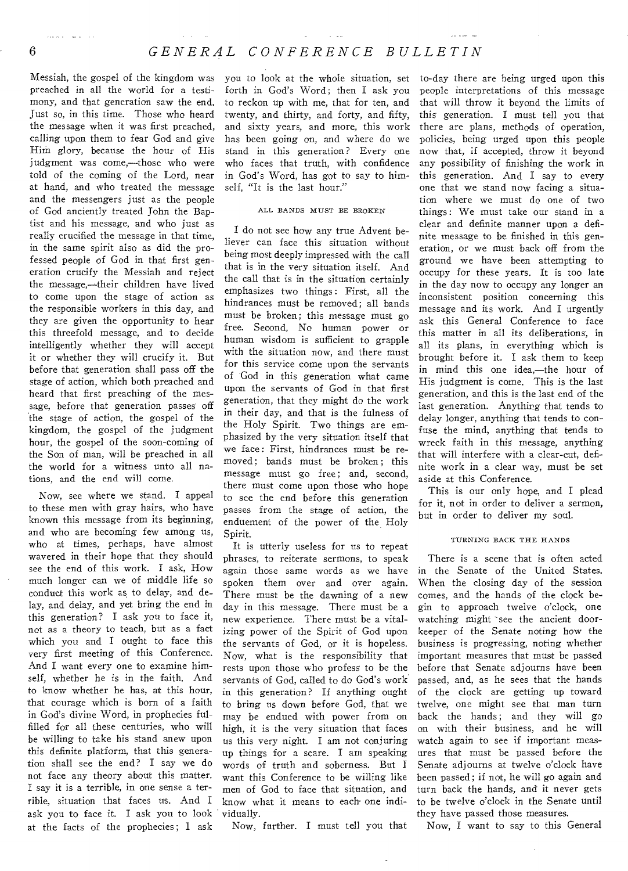Messiah, the gospel of the kingdom was preached in all the world for a testimony, and that generation saw the end. Just so, in this time. Those who heard the message when it was first preached, calling upon them to fear God and give Him glory, because the hour of His judgment was come,—those who were told of the coming of the Lord, near at hand, and who treated the message and the messengers just as the people of God anciently treated John the Baptist and his message, and who just as really crucified the message in that time, in the same spirit also as did the professed people of God in that first generation crucify the Messiah and reject the message,—their children have lived to come upon the stage of action as the responsible workers in this day, and they are given the opportunity to hear this threefold message, and to decide intelligently whether they will accept it or whether they will crucify it. But before that generation shall pass off the stage of action, which both preached and heard that first preaching of the message, before that generation passes off the stage of action, the gospel of the kingdom, the gospel of the judgment hour, the gospel of the soon-coming of the Son of man, will be preached in all the world for a witness unto all nations, and the end will come.

Now, see where we stand. I appeal to these men with gray hairs, who have known this message from its beginning, and who are becoming few among us, who at times, perhaps, have almost wavered in their hope that they should see the end of this work. I ask, How much longer can we of middle life so conduct this work as to delay, and delay, and delay, and yet bring the end in this generation? I ask you to face it, not as a theory to teach, but as a fact which you and I ought to face this very first meeting of this Conference. And I want every one to examine himself, whether he is in the faith. And to know whether he has, at this hour, that courage which is born of a faith in God's divine Word, in prophecies fulfilled for all these centuries, who will be willing to take his stand anew upon this definite platform, that this generation shall see the end? I say we do not face any theory about this matter. I say it is a terrible, in one sense a terrible, situation that faces us. And I ask you to face it. I ask you to look at the facts of the prophecies; I ask

you to look at the whole situation, set forth in God's Word; then I ask you to reckon up with me, that for ten, and twenty, and thirty, and forty, and fifty, and sixty years, and more, this work has been going on, and where do we stand in this generation? Every one who faces that truth, with confidence in God's Word, has got to say to himself, "It is the last hour."

# ALL BANDS MUST BE BROKEN

I do not see how any true Advent believer can face this situation without being most deeply impressed with the call that is in the very situation itself. And the call that is in the situation certainly emphasizes two things: First, all the hindrances must be removed; all bands must be broken; this message must go free. Second, No human power or human wisdom is sufficient to grapple with the situation now, and there must for this service come upon the servants of God in this generation what came upon the servants of God in that first generation, that they might do the work in their day, and that is the fulness of the Holy Spirit. Two things are emphasized by the very situation itself that we face: First, hindrances must be removed; bands must be broken; this message must go free; and, second, there must come upon those who hope to see the end before this generation passes from the stage of action, the enduement of the power of the Holy Spirit.

It is utterly useless for us to repeat phrases, to reiterate sermons, to speak again those same words as we have spoken them over and over again. There must be the dawning of a new day in this message. There must be a new experience. There must be a vitalizing power of the Spirit of God upon the servants of God, or it is hopeless. Now, what is the responsibility that rests upon those who profess to be the. servants of God, called to do God's work in this generation? If anything ought to bring us down before God, that we may be endued with power from on high, it is the very situation that faces us this very night. I am not conjuring up things for a scare. I am speaking words of truth and soberness. But I want this Conference to be willing like men of God to face that situation, and know what it means to each• one individually.

Now, further. I must tell you that

to-day there are being urged upon this people interpretations of this message that will throw it beyond the limits of this generation. I must tell you that there are plans, methods of operation, policies, being urged upon this people now that, if accepted, throw it beyond any possibility of finishing the work in this generation. And I say to every one that we stand now facing a situation where we must do one of two things : We must take our stand in a clear and definite manner upon a definite message to be finished in this generation, or we must back off from the ground we have been attempting to occupy for these years. It is too late in the day now to occupy any longer an inconsistent position concerning this message and its work. And I urgently ask this General Conference to face this matter in all its deliberations, in all its plans, in everything which is brought before it. I ask them to keep in mind this one idea,—the hour of His judgment is come. This is the last generation, and this is the last end of the last generation. Anything that tends to delay longer, anything that tends to confuse the mind, anything that tends to wreck faith in this message, anything that will interfere with a clear-cut, definite work in a clear way, must be set aside at this Conference.

This is our only hope, and I plead for it, not in order to deliver a sermon, but in order to deliver my soul.

### TURNING BACK THE HANDS

There is a scene that is often acted in the Senate of the United States. When the closing day of the session comes, and the hands of the clock begin to approach twelve o'clock, one watching might see the ancient doorkeeper of the Senate noting how the business is progressing, noting whether important measures that must be passed before that Senate adjourns have been passed, and, as he sees that the hands of the clock are getting up toward twelve, one might see that man turn back the hands; and they will go on with their business, and he will watch again to see if important measures that must be passed before the Senate adjourns at twelve o'clock have been passed; if not, he will go again and turn back the hands, and it never gets to be twelve o'clock in the Senate until they have passed those measures.

Now, I want to say to this General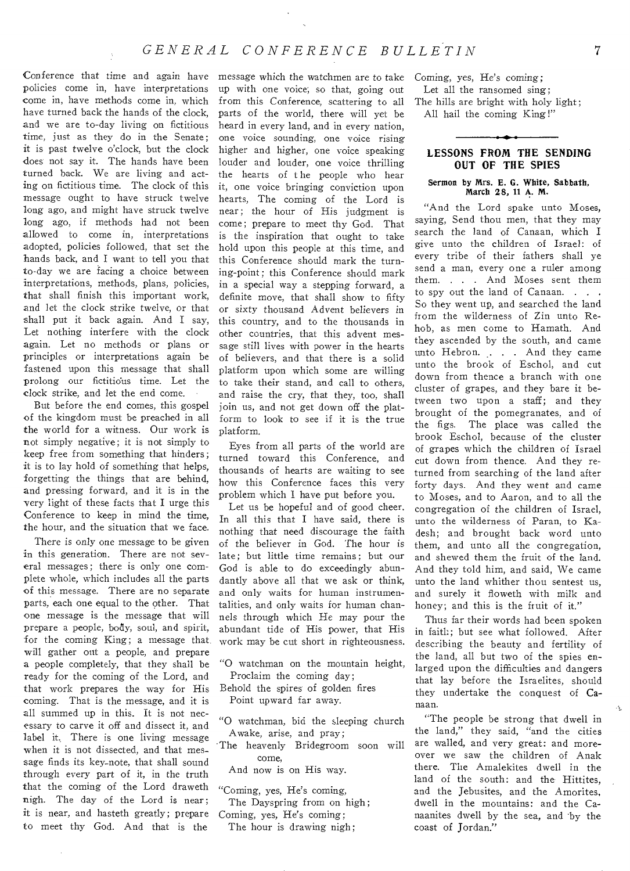Conference that time and again have policies come in, have interpretations come in, have methods come in, which have turned back the hands of the clock, and we are to-day living on fictitious time, just as they do in the Senate; it is past twelve o'clock, but the clock does not say it. The hands have been turned hack. We are living and acting on fictitious time. The clock of this message ought to have struck twelve long ago, and might have struck twelve long ago, if methods had not been allowed to come in, interpretations adopted, policies followed, that set the hands back, and I want to tell you that to-day we are facing a choice between interpretations, methods, plans, policies, that shall finish this important work, and let the clock strike twelve, or that shall put it back again. And I say, Let nothing interfere with the clock again. Let no methods or plans or principles or interpretations again be fastened upon this message that shall prolong our fictitious time. Let the clock strike, and let the end come.

But before the end comes, this gospel of the kingdom must be preached in all the world for a witness. Our work is not simply negative; it is not simply to keep free from something that hinders; it is to lay hold of something that helps, forgetting the things that are behind, and pressing forward, and it is in the very light of these facts that I urge this Conference to keep in mind the time, the hour, and the situation that we face.

There is only one message to be given in this generation. There are not several messages; there is only one complete whole, which includes all the parts of this message. There are no separate parts, each one equal to the other. That one message is the message that will prepare a people, body, soul, and spirit, for the coming King; a message that will gather out a people, and prepare a people completely, that they shall be ready for the coming of the Lord, and that work prepares the way for His coming. That is the message, and it is all summed up in this. It is not necessary to carve it off and dissect it, and label it. There is one living message when it is not dissected, and that message finds its key-note, that shall sound through every part of it, in the truth that the coming of the Lord draweth nigh. The day of the Lord is near; it is near, and hasteth greatly; prepare to meet thy God. And that is the

message which the watchmen are to take up with one voice; so that, going out from this Conference, scattering to all parts of the world, there will yet be heard in every land, and in every nation, one voice sounding, one voice rising higher and higher, one voice speaking louder and louder, one voice thrilling the hearts of t he people who hear it, one voice bringing conviction upon hearts, The coming of the Lord is near; the hour of His judgment is come; prepare to meet thy God. That is the inspiration that ought to take hold upon this people at this time, and this Conference should mark the turning-point ; this Conference should mark in a special way a stepping forward, a definite move, that shall show to fifty or sixty thousand Advent believers in this country, and to the thousands in other countries, that this advent message still lives with power in the hearts of believers, and that there is a solid platform upon which some are willing to take their stand, and call to others, and raise the cry, that they, too, shall join us, and not get down off the platform to look to see if it is the true platform.

Eyes from all parts of the world are turned toward this Conference, and thousands of hearts are waiting to see how this Conference faces this very problem which I have put before you.

Let us be hopeful and of good cheer. In all this that I have said, there is nothing that need discourage the faith of the believer in God. The hour is late; but little time remains; but our God is able to do exceedingly abundantly above all that we ask or think, and only waits for human instrumentalities, and only waits for human channels through which He may pour the abundant tide of His power, that His work may be cut short in righteousness.

- "0 watchman on the mountain height, Proclaim the coming day;
- Behold the spires of golden fires

Point upward far away.

- "0 watchman, bid the sleeping church Awake, arise, and pray;
- The heavenly Bridegroom soon will come,

And now is on His way.

"Coming, yes, He's coming,

The Dayspring from on high; Coming, yes, He's coming;

The hour is drawing nigh;

Coming, yes, He's coming; Let all the ransomed sing; The hills are bright with holy light; All hail the coming King !"

# **LESSONS FROM THE SENDING OUT OF THE SPIES**

## Sermon by Mrs. E. G. White, Sabbath, March 28, 11 A. M.

"And the Lord spake unto Moses, saying, Send thou men, that they may search the land of Canaan, which I give unto the children of Israel: of every tribe of their fathers shall ye send a man, every one a ruler among them. . . . And Moses sent them to spy out the land of Canaan. . . . So they went up, and searched the land from the wilderness of Zin unto Rehob, as men come to Hamath. And they ascended by the south, and came unto Hebron. . . And they came unto the brook of Eschol, and cut down from thence a branch with one cluster of grapes, and they bare it between two upon a staff; and they brought of the pomegranates, and of the figs. The place was called the brook Eschol, because of the cluster of grapes which the children of Israel cut down from thence. And they returned from searching of the land after forty days. And they went and came to Moses, and to Aaron, and to all the congregation of the children of Israel, unto the wilderness of Paran, to Kadesh; and brought back word unto them, and unto all the congregation, and shewed them the fruit of the land. And they told him, and said, We came unto the land whither thou sentest us, and surely it floweth with milk and honey; and this is the fruit of it."

Thus far their words had been spoken in faith; but see what followed. After describing the beauty and fertility of the land, all but two of the spies enlarged upon the difficulties and dangers that lay before the Israelites, should they undertake the conquest of Canaan.

"The people be strong that dwell in the land," they said, "and the cities are walled, and very great: and moreover we saw the children of Anak there. The Amalekites dwell in the land of the south: and the Hittites, and the Jebusites, and the Amorites, dwell in the mountains: and the Canaanites dwell by the sea, and by the coast of Jordan."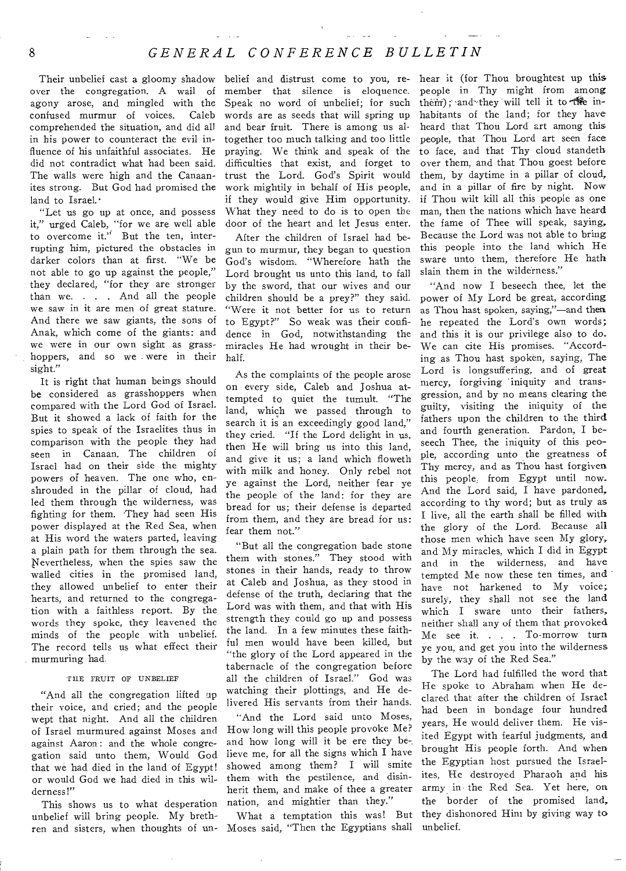# *8 GENERAL CONFERENCE BULLETIN*

Their unbelief cast a gloomy shadow over the congregation. A wail of agony arose, and mingled with the confused murmur of voices. Caleb comprehended the situation, and did all in his power to counteract the evil influence of his unfaithful associates. He did not contradict what had been said. The walls were high and the Canaanites strong. But God had promised the land to Israel.

"Let us go up at once, and possess it," urged Caleb, "for we are well able to overcome it." But the ten, interrupting him, pictured the obstacles in darker colors than at first. "We be not able to go up against the people," they declared, "for they are stronger than we. . . . And all the people we saw in it are men of great stature. And there we saw giants, the sons of Anak, which come of the giants: and we were in our own sight as grasshoppers, and so we were in their sight."

It is right that human beings should be considered as grasshoppers when compared with the Lord God of Israel. But it showed a lack of faith for the spies to speak of the Israelites thus in comparison with the people they had seen in Canaan. The children of Israel had on their side the mighty powers of heaven. The one who, enshrouded in the pillar of cloud, had led them through the wilderness, was fighting for them. They had seen His power displayed at the Red Sea, when at His word the waters parted, leaving a plain path for them through the sea. Nevertheless, when the spies saw the walled cities in the promised land, they allowed unbelief to enter their hearts, and returned to the congregation with a faithless report. By the words they spoke, they leavened the minds of the people with unbelief. The record tells us what effect their murmuring had.

#### THE FRUIT OF UNBELIEF

"And all the congregation lifted up their voice, and cried; and the people wept that night. And all the children of Israel murmured against Moses and against Aaron : and the whole congregation said unto them, Would God that we had died in the land of Egypt! or would God we had died in this wilderness!"

This shows us to what desperation unbelief will bring people. My brethren and sisters, when thoughts of un-

belief and distrust come to you, re-hear it (for Thou broughtest up this member that silence is eloquence. Speak no word of unbelief; for such words are as seeds that will spring up and bear fruit. There is among us altogether too much talking and too little praying. We think and speak of the difficulties that exist, and forget to trust the Lord. God's Spirit would work mightily in behalf of His people, if they would give Him opportunity. What they need to do is to open the door of the heart and let Jesus enter.

After the children of Israel had begun to murmur, they began to question God's wisdom. "Wherefore hath the Lord brought us unto this land, to fall by the sword, that our wives and our children should be a prey?" they said. "Were it not better for us to return to Egypt?" So weak was their confidence in God, notwithstanding the miracles He had wrought in their behalf.

As the complaints of the people arose on every side, Caleb and Joshua attempted to quiet the tumult. "The land, which we passed through to search it is an exceedingly good land," they cried. "If the Lord delight in us, then He will bring us into this land, and give it us; a land which floweth with milk and honey. Only rebel not ye against the Lord, neither fear ye the people of the land; for they are bread for us; their defense is departed from them, and they are bread for us: fear them not."

"But all the congregation bade stone them with stones." They stood with stones in their hands, ready to throw at Caleb and Joshua, as they stood in defense of the truth, declaring that the Lord was with them, and that with His strength they could go up and possess the land. In a few minutes these faithful men would have been killed, but "the glory of the Lord appeared in the tabernacle of the congregation before all the children of Israel." God was watching their plottings, and He delivered His servants from their hands.

"And the Lord said unto Moses, How long will this people provoke Me? and how long will it be ere they be-. lieve me, for all the signs which I have showed among them? I will smite them with the pestilence, and disinherit them, and make of thee a greater nation, and mightier than they."

What a temptation this was! But Moses said, "Then the Egyptians shall

people in Thy might from among them); and they will tell it to the inhabitants of the land; for they have heard that Thou Lord art among this people, that Thou Lord art seen face to face, and that Thy cloud standeth over them, and that Thou goest before them, by daytime in a pillar of cloud, and in a pillar of fire by night. Now if Thou wilt kill all this people as one man, then the nations which have heard the fame of Thee will speak, saying, Because the Lord was not able to bring this people into the land which He sware unto them, therefore He hath slain them in the wilderness."

"And now I beseech thee, let the power of My Lord be great, according as Thou hast spoken, saying,"—and then he repeated the Lord's own words; and this it is our privilege also to do. We can cite His promises. "According as Thou hast spoken, saying, The Lord is longsuffering, and of great mercy, forgiving 'iniquity and transgression, and by no means clearing the guilty, visiting the iniquity of the fathers upon the children to the third and fourth generation. Pardon. I beseech Thee, the iniquity of this people, according unto the greatness of Thy mercy, and as Thou hast forgiven this people, from Egypt until now. And the Lord said, I have pardoned, according to thy word; but as truly as I live, all the earth shall be filled with the glory of the Lord. Because all those men which have seen My glory, and My miracles, which I did in Egypt and in the wilderness, and have tempted Me now these ten times, and have not harkened to My voice; surely, they shall not see the land which I sware unto their fathers, neither shall any of them that provoked Me see it. . . . To-morrow turn ye you, and get you into the wilderness by the way of the Red Sea."

The Lord had fulfilled the word that He spoke to Abraham when He declared that after the children of Israel had been in bondage four hundred years, He would deliver them. He visited Egypt with fearful judgments, and brought His people forth. And when the Egyptian host pursued the Israelites, He destroyed Pharaoh and his army in the Red Sea. Yet here, on the border of the promised land, they dishonored Him by giving way to unbelief.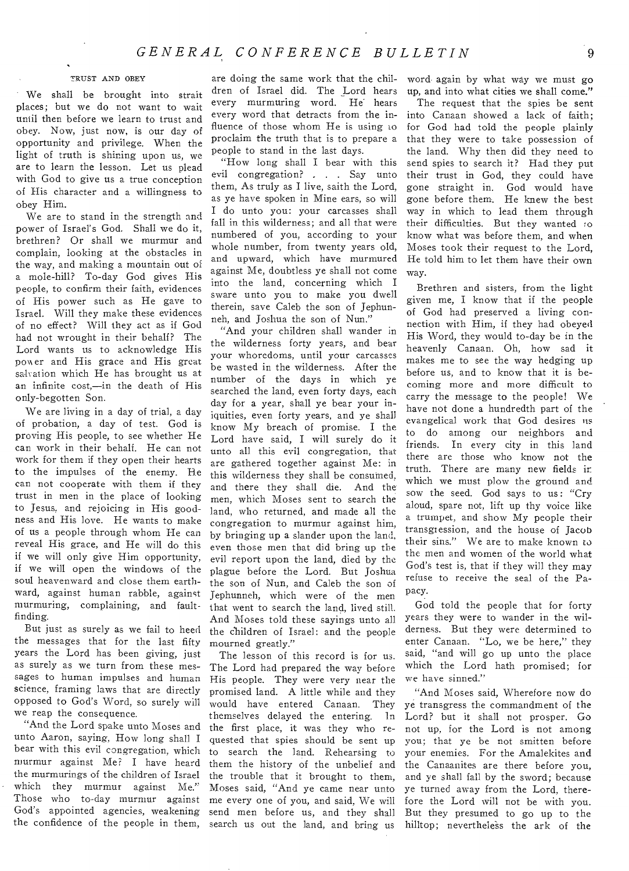#### TRUST AND OBEY

We shall be brought into strait places; but we do not want to wait until then before we learn to trust and obey. Now, just now, is our day of opportunity and privilege. When the light of truth is shining upon us, we are to learn the lesson. Let us plead with God to give us a true conception of His character and a willingness to obey Him.

We are to stand in the strength and power of Israel's God. Shall we do it, brethren? Or shall we murmur and complain, looking at the obstacles in the way, and making a mountain out of a mole-hill? To-day God gives His people, to confirm their faith, evidences of His power such as He gave to Israel. Will they make these evidences of no effect? Will they act as if God had not wrought in their behalf? The Lord wants us to acknowledge His pow er and His grace and His great salvation which He has brought us at an infinite cost,—in the death of His only-begotten Son.

We are living in a day of trial, a day of probation, a day of test. God is proving His people, to see whether He can work in their behalf. He can not work for them if they open their hearts to the impulses of the enemy. He can not cooperate with them if they trust in men in the place of looking to Jesus, and rejoicing in His goodness and His love. He wants to make of us a people through whom He can reveal His grace, and He will do this if we will only give Him opportunity, if we will open the windows of the soul heavenward and close them earthward, against human rabble, against murmuring, complaining, and faultfinding.

But just as surely as we fail to heed the messages that for the last fifty years the Lord has been giving, just as surely as we turn from these messages to human impulses and human science, framing laws that are directly opposed to God's Word, so surely will we reap the consequence.

"And the Lord spake unto Moses and unto Aaron, saying, How long shall I bear with this evil congregation, which murmur against Me? I have heard the murmurings of the children of Israel which they murmur against Me." Those who to-day murmur against God's appointed agencies, weakening the confidence of the people in them, are doing the same work that the children of Israel did. The Lord hears every murmuring word. He hears every word that detracts from the influence of those whom He is using to proclaim the truth that is to prepare a people to stand in the last days.

"How long shall I bear with this evil congregation? . . . Say unto them, As truly as I live, saith the Lord, as ye have spoken in Mine ears, so will I do unto you: your carcasses shall fall in this wilderness; and all that were numbered of you, according to your whole number, from twenty years old, and upward, which have murmured against Me, doubtless ye shall not come into the land, concerning which I sware unto you to make you dwell therein, save Caleb the son of Jephunneh, and Joshua the son of Nun."

"And your children shall wander in the wilderness forty years, and bear your whoredoms, until your carcasses be wasted in the wilderness. After the number of the days in which ye searched the land, even forty days, each day for a year, shall ye bear your iniquities, even forty years, and ye shall know My breach of promise. I the Lord have said, I will surely do it unto all this evil congregation, that are gathered together against Me: in this wilderness they shall be consurned, and there they shall die. And the men, which Moses sent to search the land, who returned, and made all the congregation to murmur against him, by bringing up a slander upon the land, even those men that did bring up the evil report upon the land, died by the plague before the Lord. But Joshua the son of Nun, and Caleb the son of Jephunneh, which were of the men that went to search the land, lived still. And Moses told these sayings unto all the children of Israel: and the people mourned greatly."

The lesson of this record is for us. The Lord had prepared the way before His people. They were very near the promised land. A little while and they<br>would have entered Canaan. They would have entered Canaan. themselves delayed the entering. In the first place, it was they who requested that spies should be sent up to search the land. Rehearsing to them the history of the unbelief and the trouble that it brought to them, Moses said, "And ye came near unto me every one of you, and said, We will send men before us, and they shall search us out the land, and bring us word again by what way we must go up, and into what cities we shall come."

The request that the spies be sent into Canaan showed a lack of faith; for God had told the people plainly that they were to take possession of the land. Why then did they need to send spies to search it? Had they put their trust in God, they could have gone straight in. God would have gone before them. He knew the best way in which to lead them through their difficulties. But they wanted to know what was before them, and when Moses took their request to the Lord, He told him to let them have their own way.

Brethren and sisters, from the light given me, I know that if the people of God had preserved a living connection with Him, if they had obeyed His Word, they would to-day be in the heavenly Canaan. Oh, how sad it makes me to see the way hedging up before us, and to know that it is becoming more and more difficult to carry the message to the people! We have not done a hundredth part of the evangelical work that God desires us to do among our neighbors and friends. In every city in this land there are those who know not the truth. There are many new fields ir. which we must plow the ground and sow the seed. God says to us: "Cry aloud, spare not, lift up thy voice like a trumpet, and show My people their transgression, and the house of Jacob their sins." We are to make known to the men and women of the world what God's test is, that if they will they may refuse to receive the seal of the Papacy.

God told the people that for forty years they were to wander in the wilderness. But they were determined to enter Canaan. "Lo, we be here," they said, "and will go up unto the place which the Lord hath promised; for we have sinned."

"And Moses said, Wherefore now do ye transgress the commandment of the Lord? but it shall not prosper. Go not up, for the Lord is not among vou; that ye be not smitten before your enemies. For the Amalekites and the Canaanites are there before you, and ye shall fall by the sword; because ye turned away from the Lord, therefore the Lord will not be with you. But they presumed to go up to the hilltop; nevertheless the ark of the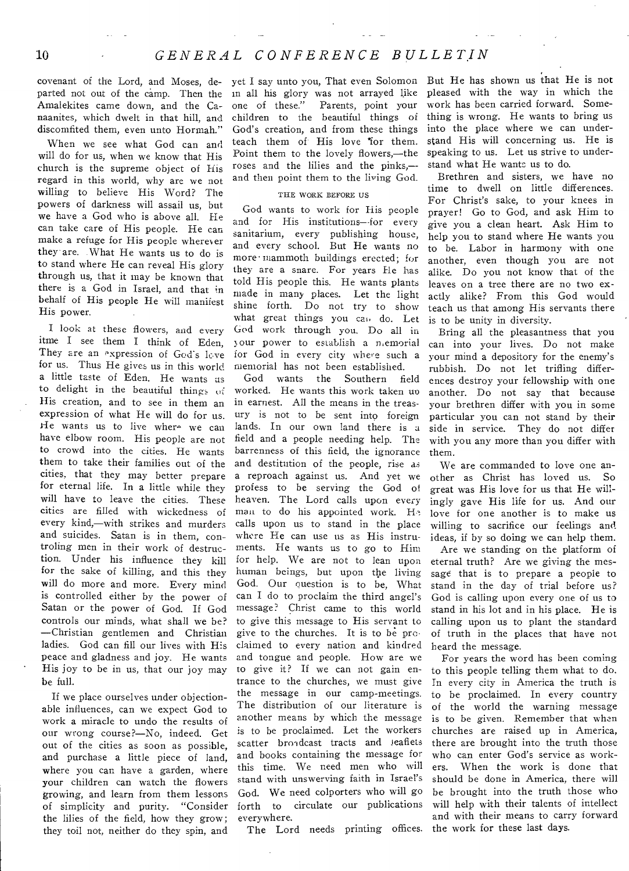parted not out of the camp. Then the in all his glory was not arrayed like Amalekites came down, and the Canaanites, which dwelt in that hill, and discomfited them, even unto Hormah."

When we see what God can and will do for us, when we know that His church is the supreme object of His regard in this world, why are we not willing to believe His Word? The powers of darkness will assail us, but we have a God who is above all. He can take care of His people. He can make a refuge for His people wherever they. are. What He wants us to do is to stand where He can reveal His glory through us, that it may be known that there is a God in Israel, and that in behalf of His people He will manifest His power.

I look at these flowers, and every itme I see them I think of Eden, They are an expression of God's love for us. Thus He gives us in this world a little taste of Eden. He wants as to delight in the beautiful things of His creation, and to see in them an expression of what He will do for us. He wants us to live where we can have elbow room. His people are not to crowd into the cities. He wants them to take their families out of the cities, that they may better prepare for eternal life. In a little while they will have to leave the cities. These cities are filled with wickedness of every kind,—with strikes and murders and suicides. Satan is in them, controling men in their work of destruction. Under his influence they kill for the sake of killing, and this they will do more and more. Every mind is controlled either by the power of Satan or the power of God. If God controls our minds, what shall we be? —Christian gentlemen and Christian ladies. God can fill our lives with His peace and gladness and joy. He wants His joy to be in us, that our joy may be full.

If we place ourselves under objectionable influences, can we expect God to work a miracle to undo the results of our wrong course?—No, indeed. Get out of the cities as soon as possible, and purchase a little piece of land, where you can have a garden, where your children can watch the flowers growing, and learn from them lessons of simplicity and purity. "Consider the lilies of the field, how they grow; they toil not, neither do they spin, and

covenant of the Lord, and Moses, de-yet I say unto you, That even Solomon one of these." Parents, point your children to the beautiful things of God's creation, and from these things teach them of His love 'for them. Point them to the lovely flowers,—the roses and the lilies and the pinks,--and then point them to the living God.

### THE WORK BEFORE US

God wants to work for His people and for His institutions--for every sanitarium, every publishing house, and every school. But He wants no more. mammoth buildings erected; for they are a snare. For years He has told His people this. He wants plants made in many places. Let the light shine forth. Do not try to show what great things you can do. Let God work through you. Do all in your power to establish a memorial for God in every city where such a memorial has not been established.<br>God wants the Southern fi-

wants the Southern field worked. He wants this work taken uo in earnest. All the means in the treasury is not to be sent into foreign lands. In our own land there is a field and a people needing help. The barrenness of this field, the ignorance and destitution of the people, rise as a reproach against us. And yet we profess to be serving the God of heaven. The Lord calls upon every man to do his appointed work. He calls upon us to stand in the place where He can use us as His instruments. He wants us to go to Him for help. We are not to lean upon human beings, but upon the living God. Our question is to be, What can I do to proclaim the third angel's message? Christ came to this world to give this message to His servant to give to the churches. It is to be proclaimed to every nation and kindred and tongue and people. How are we to give it? If we can not gain entrance to the churches, we must give the message in our camp-meetings. The distribution of our literature is another means by which the message is to be proclaimed. Let the workers scatter brondcast tracts and leaflets and books containing the message for this time. We need men who will stand with unswerving faith in Israel's God. We need colporters who will go forth to circulate our publications everywhere.

The Lord needs printing offices. the work for these last days.

But He has shown us that He is not pleased with the way in which the work has been carried forward. Something is wrong. He wants to bring us into the place where we can understand His will concerning us. He is speaking to us. Let us strive to understand what He wants us to do.

Brethren and sisters, we have no time to dwell on little differences. For Christ's sake, to your knees in prayer! Go to God, and ask Him to give you a clean heart. Ask Him to help you to stand where He wants you to be. Labor in harmony with one another, even though you are not alike. Do you not know that of the leaves on a tree there are no two exactly alike? From this God would teach us that among His servants there is to be unity in diversity.

Bring all the pleasantness that you can into your lives. Do not make your mind a depository for the enemy's rubbish. Do not let trifling differences destroy your fellowship with one another. Do not say that because your brethren differ with you in some particular you can not stand by their side in service. They do not differ with you any more than you differ with them.

We are commanded to love one an-<br>her as Christ has loved us. So other as Christ has loved us. great was His love for us that He willingly gave His life for us. And our love for one another is to make us willing to sacrifice our feelings and ideas, if by so doing we can help them.

Are we standing on the platform of eternal truth? Are we giving the message that is to prepare a people to stand in the day of trial before us? God is calling upon every one of us to stand in his lot and in his place. He is calling upon us to plant the standard of truth in the places that have not heard the message.

For years the word has been coming to this people telling them what to do. In every city in America the truth is to be proclaimed. In every country of the world the warning message is to be given. Remember that when churches are raised up in America, there are brought into the truth those who can enter God's service as work-<br>ers. When the work is done that When the work is done that should be done in America, there will be brought into the truth those who will help with their talents of intellect and with their means to carry forward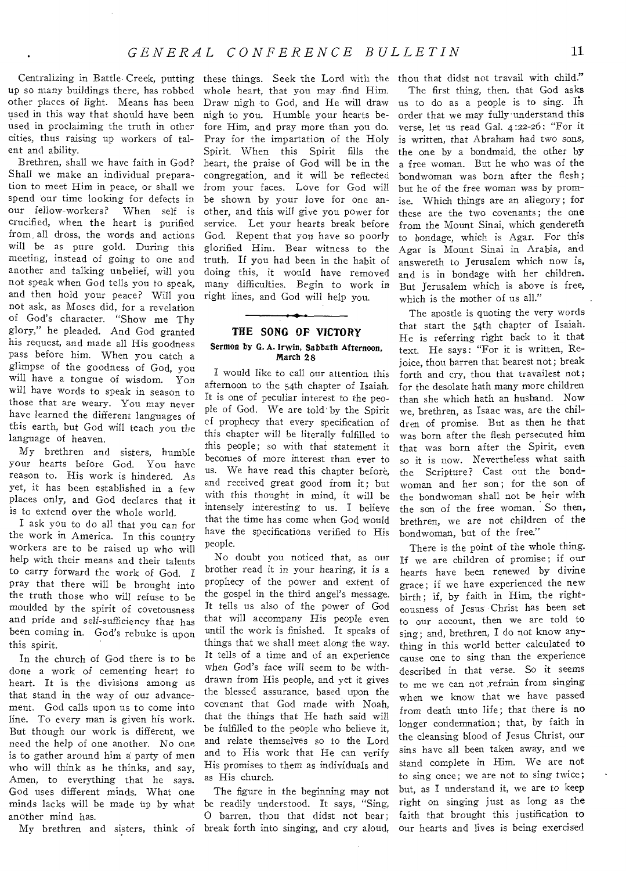up so many buildings there, has robbed whole heart, that you may find Him. used in this way that should have been nigh to you. Humble your hearts beused in proclaiming the truth in other cities, thus raising up workers of talent and ability.

Brethren, shall we have faith in God? Shall we make an individual preparation to meet Him in peace, or shall we spend our time looking for defects in our fellow-workers? When self is crucified, when the heart is purified from, all dross, the words and actions will be as pure gold. During this meeting, instead of going to one and another and talking unbelief, will you not speak when God tells you to speak, and then hold your peace? Will you not ask, as Moses did, for a revelation of God's character. "Show me Thy glory," he pleaded. And God granted his request, and made all His goodness pass before him. When you catch a glimpse of the goodness of God, you will have a tongue of wisdom. You will have words to speak in season to those that are weary. You may never have learned the different languages of this earth, but God will teach you the language of heaven.

My brethren and sisters, humble your hearts before God. You have reason to. His work is hindered. As yet, it has been established in a few places only, and God declares that it is to extend over the whole world.

I ask you to do all that you can for the work in America. In this country workers are to be raised up who will help with their means and their talents to carry forward the work *of* God. I pray that there will be brought into the truth those who will refuse to be moulded by the spirit of covetousness and pride and self-sufficiency that has been coming in. God's rebuke is upon this spirit.

In the church of God there is to be done a work of cementing heart to heart. It is the divisions among us that stand in the way of our advancement. God calls upon us to come into line. To every man is given his work. But though our work is different, we need the help of one another. No one is to gather around him a party of men who will think as he thinks, and say, Amen, to everything that he says. God uses different minds. What one minds lacks will be made up by what another mind has.

Centralizing in Battle Creek, putting these things. Seek the Lord with the thou that didst not travail with child." other places of light. Means has been Draw nigh to God, and He will draw us to do as a people is to sing. In fore Him, and pray more than you do. Pray for the impartation of the Holy Spirit. When this Spirit fills the heart, the praise of God will be in the congregation, and it will be reflected from your faces. Love for God will be shown by your love for one another, and this will give you power for service. Let your hearts break before God. Repent that you have so poorly glorified Him. Bear witness to the truth. If you had been in the habit of doing this, it would have removed many difficulties. *Begin* to work in right lines, and God will help you.

# **THE SONG OF VICTORY**

# Sermon by G. A. Irwin, Sabbath Afternoon, March 28

I would like to call our attention this afternoon to the 54th chapter of Isaiah. It is one of peculiar interest to the people of God. We are told by the Spirit of prophecy that every specification of this chapter will be literally fulfilled to this people; so with that statement it becomes of more interest than ever to us. We have read this chapter before, and received great good from it; but with this thought in mind, it will be intensely interesting to us. I believe that the time has come when God would have the specifications verified to His people.

No doubt you noticed that, as our brother read it in your hearing, it is a prophecy of the power and extent of the gospel in the third angel's message. It tells us also of the power of God that will accompany His people even until the work is finished. It speaks of things that we shall meet along the way. It tells of a time and of an experience when God's face will seem to be withdrawn from His people, and yet it gives the blessed assurance, based upon the covenant that God made with Noah, that the things that He bath said will be fulfilled to the people who believe it, and relate themselves so to the Lord and to His work that He can verify His promises to them as individuals and as His church.

My brethren and sisters, think of break forth into singing, and cry aloud, The figure in the beginning may not be readily understood. It says, "Sing, 0 barren, thou that didst not bear;

The first thing, then, that God asks order that we may fully understand this verse, let us read Gal. 4:22-26: "For it is written, that Abraham had two sons, the one by a bondmaid, the other by a free woman. But he who was of the bondwoman was born after the flesh; but he of the free woman was by promise. Which things are an allegory; for these are the two covenants ; the one from the Mount Sinai, which gendereth to bondage, which is Agar. For this Agar is Mount Sinai in Arabia, and answereth to Jerusalem which now is, and is in bondage with her children. But Jerusalem which is above is free, which is the mother of us all."

The apostle is quoting the very words that start the 54th chapter of Isaiah. He is referring right back to it that text. He says: "For it is written, Rejoice, thou barren that bearest not; break forth and cry, thou that travailest not; for the desolate bath many more children than she which hath an husband. Now we, brethren, as Isaac was, are the children of promise. But as then he that was born after the flesh persecuted him that was born after the Spirit, even so it is now. Nevertheless what saith the Scripture? Cast out the bondwoman and her son; for the son of the bondwoman shall not be heir with the son of the free woman. So then, brethren, we are not children of the bondwoman, but of the free."

There is the point of the whole thing. If we are children of promise; if our hearts have been renewed by divine grace; if we have experienced the new birth; if, by faith in Him, the righteousness of Jesus Christ has been set to our account, then we are told to sing; and, brethren, I do not know anything in this world better calculated to cause one to sing than the experience described in that verse. So it seems to me we can not ,refrain from singing when we know that we have passed from death unto life; that there is no longer condemnation; that, by faith in the cleansing blood of Jesus Christ, our sins have all been taken away, and we stand complete in Him. We are not to sing once; we are not to sing twice; but, as I understand it, we are to keep right on singing just as long as the faith that brought this justification to our hearts and lives is being exercised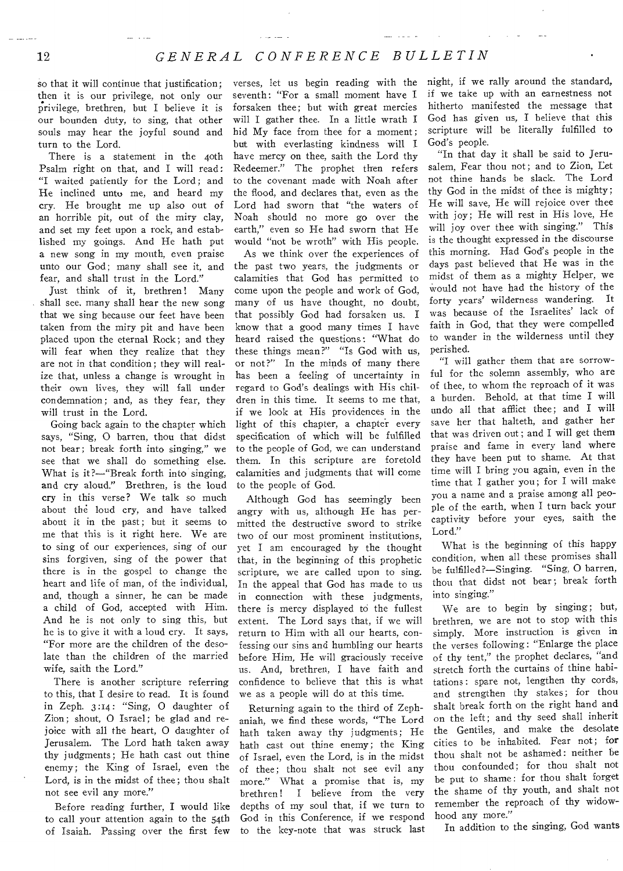and the company

so that it will continue that justification: then it is our privilege, not only our Privilege, brethren, but I believe it is our bounden duty, to sing, that other souls may hear the joyful sound and turn to the Lord.

There is a statement in the 4oth Psalm right on that, and I will read: "I waited patiently for the Lord; and He inclined unto me, and heard my cry. He brought me up also out of an horrible pit, out of the miry clay, and set my feet upon a rock, and established my goings. And He bath put a new song in my mouth, even praise unto our God; many shall see it, and fear, and shall trust in the Lord."

Just think of it, brethren! Many shall see. many shall hear the new song that we sing because our feet have been taken from the miry pit and have been placed upon the eternal Rock; and they will fear when they realize that they are not in that condition; they will realize that, unless a change is wrought in their own lives, they will fall under condemnation; and, as they fear, they will trust in the Lord.

Going back again to the chapter which says, "Sing, 0 barren, thou that didst not bear ; break forth into singing," we see that we shall do something else. What is it ?—"Break forth into singing, and cry aloud." Brethren, is the loud cry in this verse? We talk so much about the loud cry, and have talked about it in the past; but it seems to me that this is it right here. We are to sing of our experiences, sing of our sins forgiven, sing of the power that there is in the gospel to change the heart and life of man, of the individual, and, though a sinner, he can be made a child of God, accepted with Him. And he is not only to sing this, but he is to give it with a loud cry. It says, "For more are the children of the desolate than the children of the married wife, saith the Lord."

There is another scripture referring to this, that I desire to read. It is found in Zeph. 3:14: "Sing, 0 daughter of Zion; shout, 0 Israel; be glad and rejoice with all the heart, 0 daughter of Jerusalem. The Lord hath taken away thy judgments; He bath cast out thine enemy; the King of Israel, even the Lord, is in the midst of thee; thou shalt not see evil any more."

Before reading further, I would like to call your attention again to the 54th of Isaiah. Passing over the first few

seventh: "For a small moment have I forsaken thee; but with great mercies will I gather thee. In a little wrath I hid My face from thee for a moment; but with everlasting kindness will I have mercy on thee, saith the Lord thy Redeemer." The prophet then refers to the covenant made with Noah after the flood, and declares that, even as the Lord had sworn that "the waters of Noah should no more go over the earth," even so He had sworn that He would "not be wroth" with His people.

As we think over the experiences of the past two years, the judgments or calamities that God has permitted to come upon the people and work of God, many of us have thought, no doubt, that possibly God had forsaken us. I know that a good many times I have heard raised the questions: "What do these things mean?" "Is God with us, or not?" In the minds of many there has been a feeling of uncertainty in regard to God's dealings with His children in this time. It seems to me that, if we look at His providences in the light of this chapter, a chapter every specification of which will be fulfilled to the people of God, we can understand them. In this scripture are foretold calamities and judgments that will come to the people of God.

Although God has seemingly been angry with us, although He has permitted the destructive sword to strike two of our most prominent institutions, yet I am encouraged by the thought that, in the beginning of this prophetic scripture, we are called upon to sing. In the appeal that God has made to us in connection with these judgments, there is mercy displayed to the fullest extent. The Lord says that, if we will return to Him with all our hearts, confessing our sins and humbling our hearts before Him, He will graciously receive us. And, brethren, I have faith and confidence to believe that this is what we as a people will do at this time.

Returning again to the third of Zephaniah, we find these words, "The Lord hath taken away thy judgments; He hath cast out thine enemy; the King of Israel, even the Lord, is in the midst of thee; thou shalt not see evil any more." What a promise that is, my brethren! I believe from the very depths of my soul that, if we turn to God in this Conference, if we respond to the key-note that was struck last

verses, let us begin reading with the night, if we rally around the standard, if we take up with an earnestness not hitherto manifested the message that God has given us, I believe that this scripture will be literally fulfilled to God's people.

> "In that day it shall be said to Jerusalem, Fear thou not; and to Zion, Let not thine hands be slack. The Lord thy God in the midst of thee is mighty; He will save, He will rejoice over thee with joy; He will rest in His love, He will joy over thee with singing." This is the thought expressed in the discourse this morning. Had God's people in the days past believed that He was in the midst of them as a mighty Helper, we would not have had the history of the forty years' wilderness wandering. It was because of the Israelites' lack of faith in God, that they were compelled to wander in the wilderness until they perished.

"I will gather them that are sorrowful for the solemn assembly, who are of thee, to whom the reproach of it was a burden. Behold, at that time I will undo all that afflict thee; and I will save her that halteth, and gather her that was driven out ; and I will get them praise and fame in every land where they have been put to shame. At that time will I bring you again, even in the time that I gather you; for I will make you a name and a praise among all people of the earth, when I turn back your captivity before your eyes, saith the Lord."

What is the beginning of this happy condition, when all these promises shall be fulfilled ?—Singing. "Sing, 0 barren, thou that didst not bear ; break forth into singing."

We are to begin by singing; but, brethren, we are not to stop with this simply. More instruction is given in the verses following: "Enlarge the place of thy tent," the prophet declares, "and stretch forth the curtains of thine habitations : spare not, lengthen thy cords, and strengthen thy stakes; for thou shalt break forth on the right hand and on the left; and thy seed shall inherit the Gentiles, and make the desolate cities to be inhabited. Fear not; for thou shalt not be ashamed: neither be thou confounded; for thou shalt not be put to shame: for thou shalt forget the shame of thy youth, and shalt not remember the reproach of thy widowhood any more."

In addition to the singing, God wants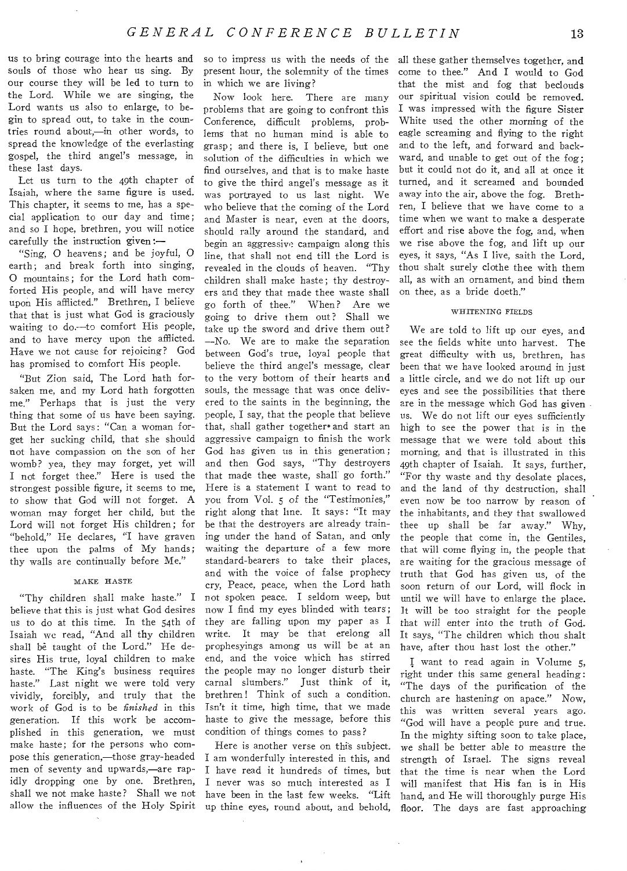us to bring courage into the hearts and souls of those who hear us sing. By our course they will be led to turn to the Lord. While we are singing, the Lord wants us also to enlarge, to begin to spread out, to take in the countries round about,—in other words, to spread the knowledge of the everlasting gospel, the third angel's message, in these last days.

Let us turn to the 49th chapter of Isaiah, where the same figure is used. This chapter, it seems to me, has a special application to our day and time; and so I hope, brethren, you will notice carefully the instruction given:—

"Sing, 0 heavens; and be joyful, 0 earth; and break forth into singing, **0** mountains; for the Lord bath comforted His people, and will have mercy upon His afflicted." Brethren, I believe that that is just what God is graciously waiting to do.—to comfort His people, and to have mercy upon the afflicted. Have we not cause for rejoicing? God has promised to comfort His people.

"But Zion said, The Lord bath forsaken me, and my Lord bath forgotten me." Perhaps that is just the very thing that some of us have been saying. But the Lord says: "Can a woman forget her sucking child, that she should not have compassion on the son of her womb? yea, they may forget, yet will I not forget thee." Here is used the strongest possible figure, it seems to me, to show that God will not forget. A woman may forget her child, but the Lord will not forget His children; for "behold," He declares, "I have graven thee upon the palms of My hands; thy walls are continually before Me."

## MAKE HASTE

"Thy children shall make haste." I believe that this is just what God desires us to do at this time. In the 54th of Isaiah we read, "And all thy children shall be taught of the Lord." He desires His true, loyal children to make haste. "The King's business requires haste." Last night we were told very vividly, forcibly, and truly that the work of God is to be *finished* in this generation. If this work be accomplished in this generation, we must make haste; for the persons who compose this generation,—those gray-headed men of seventy and upwards,—are rapidly dropping one by one. Brethren, shall we not make haste? Shall we not present hour, the solemnity of the times in which we are living?

Now look here. There are many problems that are going to confront this Conference, difficult problems, problems that no human mind is able to grasp; and there is, I believe, but one solution of the difficulties in which we find ourselves, and that is to make haste to give the third angel's message as it was portrayed to us last night. We who believe that the coming of the Lord and Master is near, even at the doors, should rally around the standard, and begin an aggressive campaign along this line, that shall not end till the Lord is revealed in the clouds of heaven. "Thy children shall make haste; thy destroyers and they that made thee waste shall go forth of thee." When? Are we going to drive them out? Shall we take up the sword and drive them out? --No. We are to make the separation between God's true, loyal people that believe the third angel's message, clear to the very bottom of their hearts and souls, the message that was once delivered to the saints in the beginning, the people, I say, that the people that believe **that, shall** gather together® and start an **aggressive** campaign to finish the work **God** has given us in this generation; and then God **says,** "Thy destroyers that made thee waste, shall go forth." Here is a statement I want to read to you from Vol. **5** *of* the "Testimonies," right along that line. It says: **"It** may be that the destroyers are already training under the hand of Satan, and only waiting the departure of a few more standard-bearers to take their places, and with the voice of false prophecy cry, Peace, peace, when the Lord bath not spoken peace. I seldom weep, but now I find my eyes blinded with tears'; they are falling upon my paper as I write. It may be that erelong all prophesyings among us will be at an end, and the voice which has stirred the people may no longer disturb their carnal slumbers." Just think of it, brethren! Think of such a condition. Isn't it time, high time, that we made haste to give the message, before this condition of things comes to pass?

allow the influences of the Holy Spirit up thine eyes, round about, and behold, Here is another verse on this subject. I am wonderfully interested in this, and I have read it hundreds of times, but I never was so much interested as I have been in the last few weeks. "Lift

so to impress us with the needs of the all these gather themselves together, **and**  come to thee." And I would to God that the mist and fog that beclouds our spiritual vision could be removed. I was impressed with the figure Sister White used the other morning of the eagle screaming and flying to the right and to the left, and forward and backward, and unable to get out of the fog; but it could not do it, and all at once it turned, and it screamed and bounded away into the air, above the fog. Brethren, I believe that we have come to a time when we want to make a desperate effort and rise above the fog, and, **when**  we rise above the fog, and lift up our eyes, it says, "As I live, saith the Lord, thou shalt surely clothe thee with them all, as with an ornament, and bind them on thee, as a bride doeth."

# WHITENING FIELDS

We are told to lift up our eyes, and see the fields white unto harvest. The great difficulty with us, brethren, has been that we have looked around in just a little circle, and we do not lift up our eyes and see the possibilities that there are in the message which God has given us. We do not lift our eyes sufficiently high to see the power that is in the message that we were told about this morning, and that is illustrated in this 49th chapter of Isaiah. It says, further, "For thy waste and thy desolate places, and the land of thy destruction, shall even now be too narrow by reason of the inhabitants, and they that swallowed thee up shall be far away." Why, the people that come in, the Gentiles, that will come flying in, the people that are waiting for the gracious message of truth that God has given us, of the soon return of our Lord, will flock in until we will have to enlarge the place. It will be too straight for the people that will enter into the truth of God. It **says,** "The children which thou shalt have, after thou hast lost the other."

I want to read again in Volume 5, right under this same general heading: "The days of the purification of the church are hastening on apace." Now, this was written several years ago. "God will have a people pure and true. In the mighty sifting soon to take place, we shall be better able to measure the strength of Israel. The signs reveal that the time is near when the Lord will manifest that His fan is in His hand, and He will thoroughly purge His floor. **The days are fast** approaching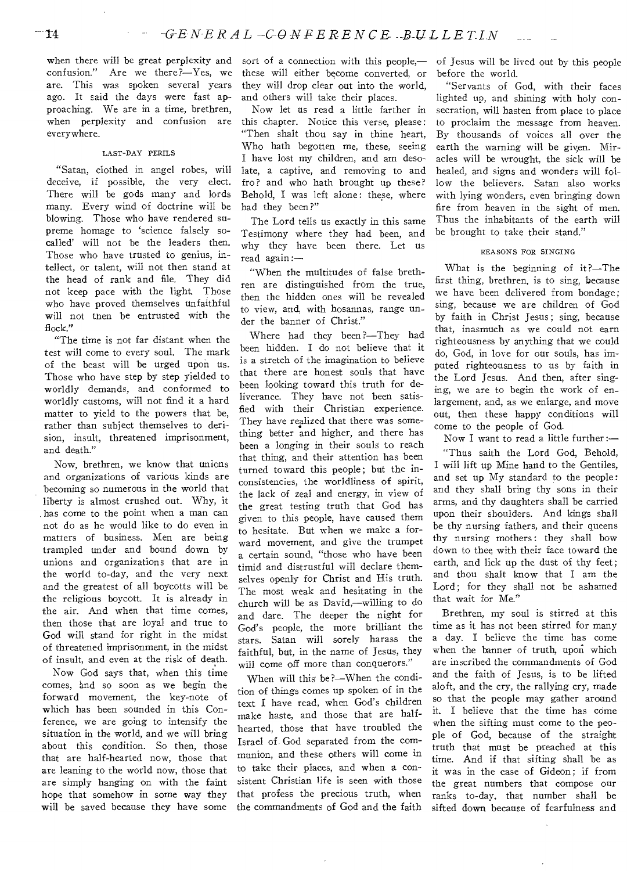when there will be great perplexity and confusion." Are we there?—Yes, we are. This was spoken several years ago. It said the days were fast approaching. We are in a time, brethren, when perplexity and confusion are everywhere.

## LAST-DAY PERILS

"Satan, clothed in angel robes, will deceive, if possible, the very elect. There will be gods many and lords many. Every wind of doctrine will be blowing. Those who have rendered supreme homage to 'science falsely socalled' will not be the leaders then. Those who have trusted to genius, intellect, or talent, will not then stand at the head of rank and file. They did not keep pace with the light. Those who have proved themselves unfaithful will not then be entrusted with the flock."

"The time is not far distant when the test will come to every soul. The mark of the beast will be urged upon us. Those who have step by step yielded to worldly demands, and conformed to worldly customs, will not find it a hard matter to yield to the powers that be, rather than subject themselves to derision, insult, threatened imprisonment, and death."

Now, brethren, we know that unions and organizations of various kinds are becoming so numerous in the world that liberty is almost crushed out. Why, it has come to the point when a man can not do as he would like to do even in matters of business. Men are being trampled under and bound down by unions and organizations that are in the world to-day, and the very next and the greatest of all boycotts will be the religious boycott. It is already in the air. And when that time comes, then those that are loyal and true to God will stand for right in the midst of threatened imprisonment, in the midst of insult, and even at the risk of death.

Now God says that, when this time comes, and so soon as we begin the forward movement, the key-note of which has been sounded in this Conference, we are going to intensify the situation in the world, and we will bring about this condition. So then, those that are half-hearted now, those that are leaning to the world now, those that are simply hanging on with the faint hope that somehow in some way they will be saved because they have some sort of a connection with this people, these will either become converted, or they will drop clear out into the world, and others will take their places.

Now let us read a little farther in this chapter. Notice this verse, please: "Then shalt thou say in thine heart, Who bath begotten me, these, seeing I have lost my children, and am desolate, a captive, and removing to and fro? and who bath brought up these? Behold, I was left alone: these, where had they been?"

The Lord tells us exactly in this same Testimony where they had been, and why they have been there. Let us read again:—

"When the multitudes of false brethren are distinguished from the true, then the hidden ones will be revealed to view, and, with hosannas, range under the banner of Christ."

Where had they been ?—They had been hidden. I do not believe that it is a stretch of the imagination to believe that there are honest souls that have been looking toward this truth for deliverance. They have not been satisfied with their Christian experience. They have realized that there was something better and higher, and there has been a longing in their souls to reach that thing, and their attention has been turned toward this people; but the inconsistencies, the worldliness of spirit, the lack of zeal and energy, in view of the great testing truth that God has given to this people, have caused them to hesitate. But when we make a forward movement, and give the trumpet a certain sound, "those who have been timid and distrustful will declare themselves openly for Christ and His truth. The most weak and hesitating in the church will be as David,—willing to do and dare. The deeper the night for God's people, the more brilliant the stars. Satan will sorely harass the faithful, but, in the name of Jesus, they will come off more than conquerors."

When will this he?—When the condition of things comes up spoken of in the text I have read, when God's children make haste, and those that are halfhearted, those that have troubled the Israel of. God separated from the communion, and these others will come in to take their places, and when a consistent Christian life is seen with those that profess the precious truth, when the commandments of God and the faith of Jesus will be lived out by this people before the world.

"Servants of God, with their faces lighted up, and shining with holy consecration, will hasten from place to place to proclaim the message from heaven. By thousands of voices all over the earth the warning will be given. Miracles will be wrought, the sick will be healed, and signs and wonders will follow the believers. Satan also works with lying wonders, even bringing down fire from heaven in the sight of men. Thus the inhabitants of the earth will be brought to take their stand."

# REASONS FOR SINGING

What is the beginning of it?—The first thing, brethren, is to sing, because we have been delivered from bondage; sing, because we are children of God by faith in Christ Jesus; sing, because that, inasmuch as we could not earn righteousness by anything that we could do, God, in love for our souls, has imputed righteousness to us by faith in the Lord Jesus. And then, after singing, we are to begin the work of enlargement, and, as we enlarge, and move out, then these happy conditions will come to the people of God.

Now I want to read a little further :—

"Thus saith the Lord God, Behold, I will lift up Mine hand to the Gentiles, and set up My standard to the people: and they shall bring thy sons in their arms, and thy daughters shall be carried upon their shoulders. And kings shall be thy nursing fathers, and their queens thy nursing mothers: they shall bow down to thee with their face toward the earth, and lick up the dust of thy feet; and thou shalt know that I am the Lord; for they shall not be ashamed that wait for Me."

Brethren, my soul is stirred at this time as it has not been stirred for many a day. I believe the time has come when the banner of truth, upon which are inscribed the commandments of God and the faith of Jesus, is to be lifted aloft, and the cry, the rallying cry, made so that the people may gather around it. I believe that the time has come when the sifting must come to the people of God, because of the straight truth that must be preached at this time. And if that sifting shall be as it was in the case of Gideon ; if from the great numbers that compose our ranks to-day, that number shall be sifted down because of fearfulness and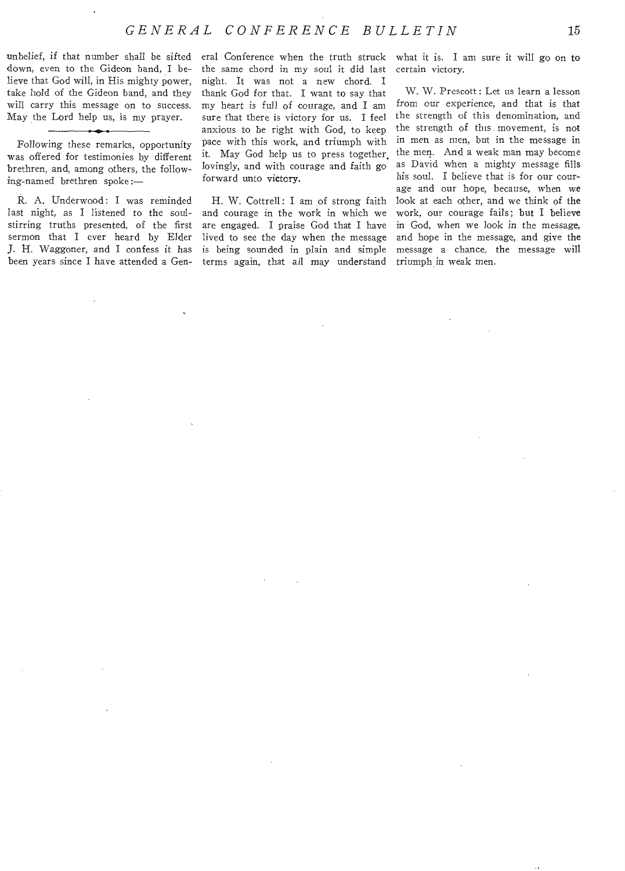unbelief, if that number shall be sifted down, even to the Gideon band, I believe that God will, in His mighty power, take hold of the Gideon band, and they will carry this message on to success. May the Lord help us, is my prayer.

Following these remarks, opportunity was offered for testimonies by different brethren, and, among others, the following-named brethren spoke

R. A. Underwood: I was reminded last night, as I listened to the soulstirring truths presented, of the first sermon that I ever heard by Elder J. H. Waggoner, and I confess it has been years since I have attended a Gen-

the same chord in *my* soul it did last night. It was not a new chord. I thank God for that. I want to say that my heart is full of courage, and I am sure that there is victory for us. I feel anxious to be right with God, to keep pace with this work, and triumph with it. May God help us to press together, lovingly, and with courage and faith go forward unto victory.

H. W. Cottrell: I am of strong faith and courage in the work in which we are engaged. I praise God that I have lived to see the day when the message is being sounded in plain and simple terms again, that all may understand triumph in weak men.

eral Conference when the truth struck what it is. I am sure it will go on to certain victory.

> W. W. Prescott : Let us learn a lesson from our experience, and that is that the strength of this denomination, and the strength of this movement, is not in men as men, but in the message in the men. And a weak man may become as David when a mighty message fills his soul. I believe that is for our courage and our hope, because, when we look at each other, and we think of the work, our courage fails; but I believe in God, when we look in the message, and hope in the message, and give the message a chance, the message will